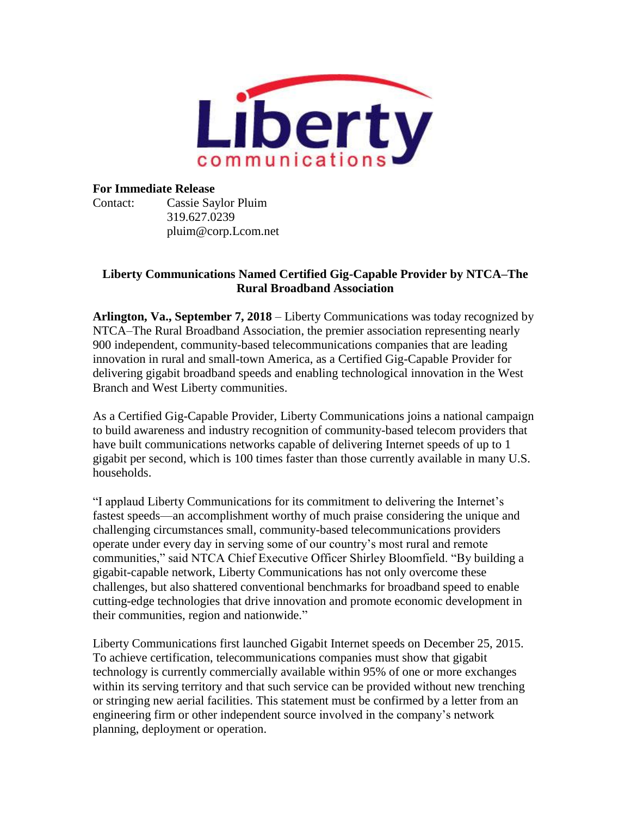

## **For Immediate Release**

Contact: Cassie Saylor Pluim 319.627.0239 pluim@corp.Lcom.net

## **Liberty Communications Named Certified Gig-Capable Provider by NTCA–The Rural Broadband Association**

**Arlington, Va., September 7, 2018** – Liberty Communications was today recognized by NTCA–The Rural Broadband Association, the premier association representing nearly 900 independent, community-based telecommunications companies that are leading innovation in rural and small-town America, as a Certified Gig-Capable Provider for delivering gigabit broadband speeds and enabling technological innovation in the West Branch and West Liberty communities.

As a Certified Gig-Capable Provider, Liberty Communications joins a national campaign to build awareness and industry recognition of community-based telecom providers that have built communications networks capable of delivering Internet speeds of up to 1 gigabit per second, which is 100 times faster than those currently available in many U.S. households.

"I applaud Liberty Communications for its commitment to delivering the Internet's fastest speeds—an accomplishment worthy of much praise considering the unique and challenging circumstances small, community-based telecommunications providers operate under every day in serving some of our country's most rural and remote communities," said NTCA Chief Executive Officer Shirley Bloomfield. "By building a gigabit-capable network, Liberty Communications has not only overcome these challenges, but also shattered conventional benchmarks for broadband speed to enable cutting-edge technologies that drive innovation and promote economic development in their communities, region and nationwide."

Liberty Communications first launched Gigabit Internet speeds on December 25, 2015. To achieve certification, telecommunications companies must show that gigabit technology is currently commercially available within 95% of one or more exchanges within its serving territory and that such service can be provided without new trenching or stringing new aerial facilities. This statement must be confirmed by a letter from an engineering firm or other independent source involved in the company's network planning, deployment or operation.